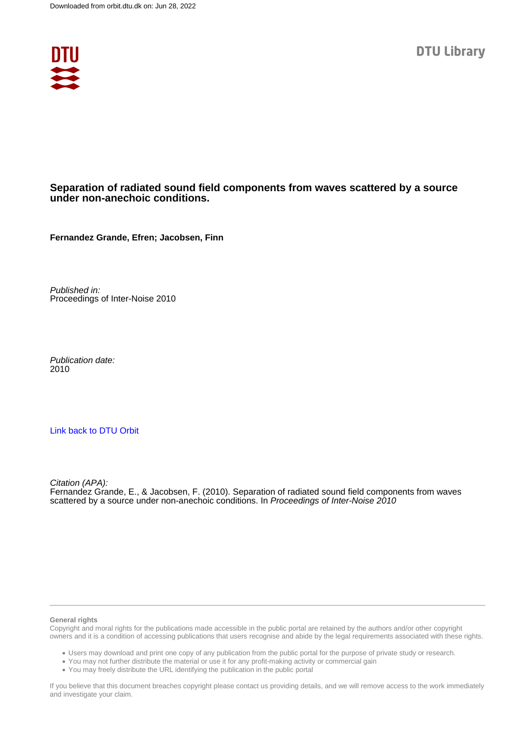

#### **Separation of radiated sound field components from waves scattered by a source under non-anechoic conditions.**

**Fernandez Grande, Efren; Jacobsen, Finn**

Published in: Proceedings of Inter-Noise 2010

Publication date: 2010

#### [Link back to DTU Orbit](https://orbit.dtu.dk/en/publications/c6de5dc8-5f55-4507-ac05-d60fc0727c18)

Citation (APA): Fernandez Grande, E., & Jacobsen, F. (2010). Separation of radiated sound field components from waves scattered by a source under non-anechoic conditions. In Proceedings of Inter-Noise 2010

#### **General rights**

Copyright and moral rights for the publications made accessible in the public portal are retained by the authors and/or other copyright owners and it is a condition of accessing publications that users recognise and abide by the legal requirements associated with these rights.

Users may download and print one copy of any publication from the public portal for the purpose of private study or research.

- You may not further distribute the material or use it for any profit-making activity or commercial gain
- You may freely distribute the URL identifying the publication in the public portal

If you believe that this document breaches copyright please contact us providing details, and we will remove access to the work immediately and investigate your claim.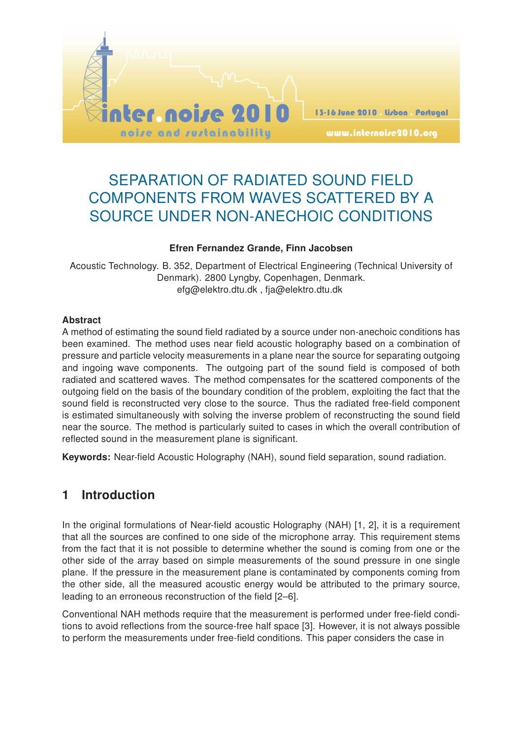

# SEPARATION OF RADIATED SOUND FIELD COMPONENTS FROM WAVES SCATTERED BY A SOURCE UNDER NON-ANECHOIC CONDITIONS

#### Efren Fernandez Grande, Finn Jacobsen

Acoustic Technology. B. 352, Department of Electrical Engineering (Technical University of Denmark). 2800 Lyngby, Copenhagen, Denmark. efg@elektro.dtu.dk , fja@elektro.dtu.dk

#### Abstract

A method of estimating the sound field radiated by a source under non-anechoic conditions has been examined. The method uses near field acoustic holography based on a combination of pressure and particle velocity measurements in a plane near the source for separating outgoing and ingoing wave components. The outgoing part of the sound field is composed of both radiated and scattered waves. The method compensates for the scattered components of the outgoing field on the basis of the boundary condition of the problem, exploiting the fact that the sound field is reconstructed very close to the source. Thus the radiated free-field component is estimated simultaneously with solving the inverse problem of reconstructing the sound field near the source. The method is particularly suited to cases in which the overall contribution of reflected sound in the measurement plane is significant.

Keywords: Near-field Acoustic Holography (NAH), sound field separation, sound radiation.

## 1 Introduction

In the original formulations of Near-field acoustic Holography (NAH) [1, 2], it is a requirement that all the sources are confined to one side of the microphone array. This requirement stems from the fact that it is not possible to determine whether the sound is coming from one or the other side of the array based on simple measurements of the sound pressure in one single plane. If the pressure in the measurement plane is contaminated by components coming from the other side, all the measured acoustic energy would be attributed to the primary source, leading to an erroneous reconstruction of the field [2–6].

Conventional NAH methods require that the measurement is performed under free-field conditions to avoid reflections from the source-free half space [3]. However, it is not always possible to perform the measurements under free-field conditions. This paper considers the case in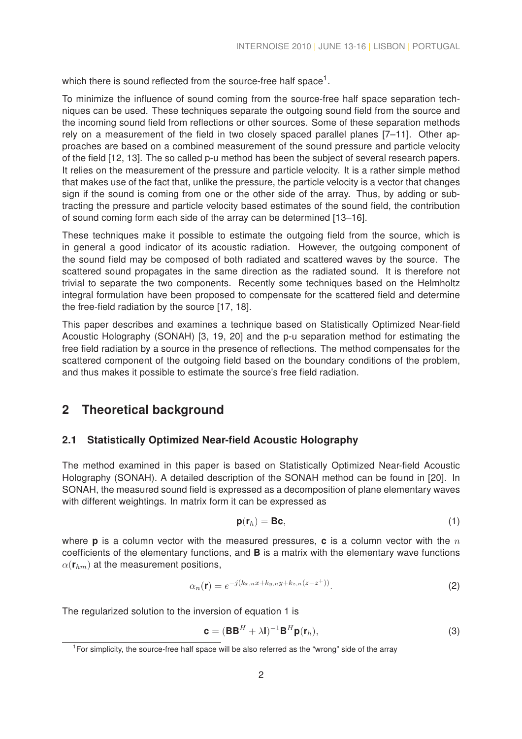which there is sound reflected from the source-free half space<sup>1</sup>.

To minimize the influence of sound coming from the source-free half space separation techniques can be used. These techniques separate the outgoing sound field from the source and the incoming sound field from reflections or other sources. Some of these separation methods rely on a measurement of the field in two closely spaced parallel planes [7–11]. Other approaches are based on a combined measurement of the sound pressure and particle velocity of the field [12, 13]. The so called p-u method has been the subject of several research papers. It relies on the measurement of the pressure and particle velocity. It is a rather simple method that makes use of the fact that, unlike the pressure, the particle velocity is a vector that changes sign if the sound is coming from one or the other side of the array. Thus, by adding or subtracting the pressure and particle velocity based estimates of the sound field, the contribution of sound coming form each side of the array can be determined [13–16].

These techniques make it possible to estimate the outgoing field from the source, which is in general a good indicator of its acoustic radiation. However, the outgoing component of the sound field may be composed of both radiated and scattered waves by the source. The scattered sound propagates in the same direction as the radiated sound. It is therefore not trivial to separate the two components. Recently some techniques based on the Helmholtz integral formulation have been proposed to compensate for the scattered field and determine the free-field radiation by the source [17, 18].

This paper describes and examines a technique based on Statistically Optimized Near-field Acoustic Holography (SONAH) [3, 19, 20] and the p-u separation method for estimating the free field radiation by a source in the presence of reflections. The method compensates for the scattered component of the outgoing field based on the boundary conditions of the problem, and thus makes it possible to estimate the source's free field radiation.

## 2 Theoretical background

## 2.1 Statistically Optimized Near-field Acoustic Holography

The method examined in this paper is based on Statistically Optimized Near-field Acoustic Holography (SONAH). A detailed description of the SONAH method can be found in [20]. In SONAH, the measured sound field is expressed as a decomposition of plane elementary waves with different weightings. In matrix form it can be expressed as

$$
\mathbf{p}(\mathbf{r}_h) = \mathbf{B}\mathbf{c},\tag{1}
$$

where **p** is a column vector with the measured pressures, **c** is a column vector with the  $n$ coefficients of the elementary functions, and B is a matrix with the elementary wave functions  $\alpha(\mathbf{r}_{hm})$  at the measurement positions,

$$
\alpha_n(\mathbf{r}) = e^{-j(k_{x,n}x + k_{y,n}y + k_{z,n}(z - z^+))}.
$$
 (2)

The regularized solution to the inversion of equation 1 is

$$
\mathbf{c} = (\mathbf{B}\mathbf{B}^H + \lambda \mathbf{I})^{-1} \mathbf{B}^H \mathbf{p}(\mathbf{r}_h),
$$
\n(3)

 $1$ For simplicity, the source-free half space will be also referred as the "wrong" side of the array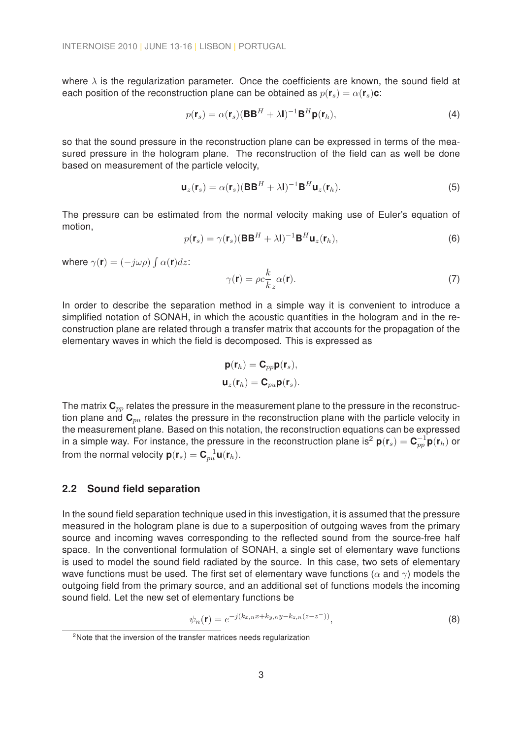where  $\lambda$  is the regularization parameter. Once the coefficients are known, the sound field at each position of the reconstruction plane can be obtained as  $p(\mathbf{r}_s) = \alpha(\mathbf{r}_s)\mathbf{c}$ :

$$
p(\mathbf{r}_s) = \alpha(\mathbf{r}_s)(\mathbf{B}\mathbf{B}^H + \lambda \mathbf{I})^{-1}\mathbf{B}^H \mathbf{p}(\mathbf{r}_h),
$$
\n(4)

so that the sound pressure in the reconstruction plane can be expressed in terms of the measured pressure in the hologram plane. The reconstruction of the field can as well be done based on measurement of the particle velocity,

$$
\mathbf{u}_z(\mathbf{r}_s) = \alpha(\mathbf{r}_s)(\mathbf{B}\mathbf{B}^H + \lambda \mathbf{I})^{-1}\mathbf{B}^H \mathbf{u}_z(\mathbf{r}_h).
$$
 (5)

The pressure can be estimated from the normal velocity making use of Euler's equation of motion,

$$
p(\mathbf{r}_s) = \gamma(\mathbf{r}_s)(\mathbf{B}\mathbf{B}^H + \lambda \mathbf{I})^{-1}\mathbf{B}^H \mathbf{u}_z(\mathbf{r}_h),
$$
\n(6)

where  $\gamma(\mathbf{r}) = (-j\omega\rho) \int \alpha(\mathbf{r}) dz$ :

$$
\gamma(\mathbf{r}) = \rho c \frac{k}{k_z} \alpha(\mathbf{r}).\tag{7}
$$

In order to describe the separation method in a simple way it is convenient to introduce a simplified notation of SONAH, in which the acoustic quantities in the hologram and in the reconstruction plane are related through a transfer matrix that accounts for the propagation of the elementary waves in which the field is decomposed. This is expressed as

$$
\mathbf{p}(\mathbf{r}_h) = \mathbf{C}_{pp}\mathbf{p}(\mathbf{r}_s),
$$

$$
\mathbf{u}_z(\mathbf{r}_h) = \mathbf{C}_{pu}\mathbf{p}(\mathbf{r}_s).
$$

The matrix  $\mathbf{C}_{pp}$  relates the pressure in the measurement plane to the pressure in the reconstruction plane and  $\mathbf{C}_{pu}$  relates the pressure in the reconstruction plane with the particle velocity in the measurement plane. Based on this notation, the reconstruction equations can be expressed in a simple way. For instance, the pressure in the reconstruction plane is<sup>2</sup>  $p(r_s) = C_{pp}^{-1}p(r_h)$  or from the normal velocity  $\boldsymbol{\mathsf{p}}(\boldsymbol{\mathsf{r}}_s) = \boldsymbol{\mathsf{C}}_{pu}^{-1} \boldsymbol{\mathsf{u}}(\boldsymbol{\mathsf{r}}_h).$ 

#### 2.2 Sound field separation

In the sound field separation technique used in this investigation, it is assumed that the pressure measured in the hologram plane is due to a superposition of outgoing waves from the primary source and incoming waves corresponding to the reflected sound from the source-free half space. In the conventional formulation of SONAH, a single set of elementary wave functions is used to model the sound field radiated by the source. In this case, two sets of elementary wave functions must be used. The first set of elementary wave functions ( $\alpha$  and  $\gamma$ ) models the outgoing field from the primary source, and an additional set of functions models the incoming sound field. Let the new set of elementary functions be

$$
\psi_n(\mathbf{r}) = e^{-j(k_{x,n}x + k_{y,n}y - k_{z,n}(z - z^{-}))},\tag{8}
$$

<sup>&</sup>lt;sup>2</sup>Note that the inversion of the transfer matrices needs regularization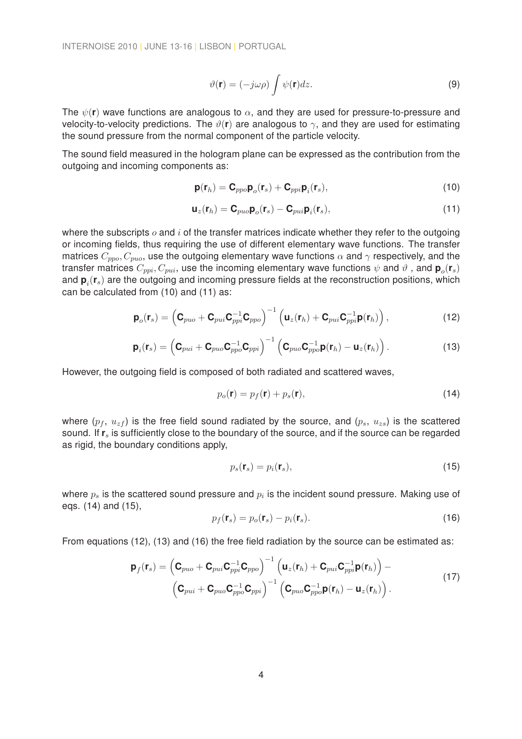$$
\vartheta(\mathbf{r}) = (-j\omega\rho) \int \psi(\mathbf{r}) dz.
$$
\n(9)

The  $\psi(\mathbf{r})$  wave functions are analogous to  $\alpha$ , and they are used for pressure-to-pressure and velocity-to-velocity predictions. The  $\vartheta(\mathbf{r})$  are analogous to  $\gamma$ , and they are used for estimating the sound pressure from the normal component of the particle velocity.

The sound field measured in the hologram plane can be expressed as the contribution from the outgoing and incoming components as:

$$
\mathbf{p}(\mathbf{r}_h) = \mathbf{C}_{ppo} \mathbf{p}_o(\mathbf{r}_s) + \mathbf{C}_{ppi} \mathbf{p}_i(\mathbf{r}_s),
$$
\n(10)

$$
\mathbf{u}_z(\mathbf{r}_h) = \mathbf{C}_{puo}\mathbf{p}_o(\mathbf{r}_s) - \mathbf{C}_{pui}\mathbf{p}_i(\mathbf{r}_s),
$$
\n(11)

where the subscripts  $\sigma$  and  $i$  of the transfer matrices indicate whether they refer to the outgoing or incoming fields, thus requiring the use of different elementary wave functions. The transfer matrices  $C_{ppo}, C_{puo}$ , use the outgoing elementary wave functions  $\alpha$  and  $\gamma$  respectively, and the transfer matrices  $C_{ppi},C_{pui},$  use the incoming elementary wave functions  $\psi$  and  $\vartheta$  , and  $\bm{{\mathsf{p}}}_o(\bm{{\mathsf{r}}}_s)$ and  ${\bf p}_i({\bf r}_s)$  are the outgoing and incoming pressure fields at the reconstruction positions, which can be calculated from (10) and (11) as:

$$
\mathbf{p}_o(\mathbf{r}_s) = \left(\mathbf{C}_{puo} + \mathbf{C}_{pui}\mathbf{C}_{ppi}^{-1}\mathbf{C}_{ppo}\right)^{-1} \left(\mathbf{u}_z(\mathbf{r}_h) + \mathbf{C}_{pui}\mathbf{C}_{ppi}^{-1}\mathbf{p}(\mathbf{r}_h)\right),
$$
(12)

$$
\mathbf{p}_i(\mathbf{r}_s) = \left(\mathbf{C}_{pui} + \mathbf{C}_{puo}\mathbf{C}_{ppo}^{-1}\mathbf{C}_{ppi}\right)^{-1} \left(\mathbf{C}_{puo}\mathbf{C}_{ppo}^{-1}\mathbf{p}(\mathbf{r}_h) - \mathbf{u}_z(\mathbf{r}_h)\right).
$$
 (13)

However, the outgoing field is composed of both radiated and scattered waves,

$$
p_o(\mathbf{r}) = p_f(\mathbf{r}) + p_s(\mathbf{r}),\tag{14}
$$

where  $(p_f, u_{zf})$  is the free field sound radiated by the source, and  $(p_s, u_{zs})$  is the scattered sound. If  $\mathbf{r}_s$  is sufficiently close to the boundary of the source, and if the source can be regarded as rigid, the boundary conditions apply,

$$
p_s(\mathbf{r}_s) = p_i(\mathbf{r}_s),\tag{15}
$$

where  $p_s$  is the scattered sound pressure and  $p_i$  is the incident sound pressure. Making use of eqs. (14) and (15),

$$
p_f(\mathbf{r}_s) = p_o(\mathbf{r}_s) - p_i(\mathbf{r}_s). \tag{16}
$$

From equations (12), (13) and (16) the free field radiation by the source can be estimated as:

$$
\mathbf{p}_f(\mathbf{r}_s) = \left(\mathbf{C}_{puo} + \mathbf{C}_{pui}\mathbf{C}_{ppi}^{-1}\mathbf{C}_{ppo}\right)^{-1}\left(\mathbf{u}_z(\mathbf{r}_h) + \mathbf{C}_{pui}\mathbf{C}_{ppi}^{-1}\mathbf{p}(\mathbf{r}_h)\right) - \left(\mathbf{C}_{pui} + \mathbf{C}_{puo}\mathbf{C}_{ppo}^{-1}\mathbf{C}_{ppi}\right)^{-1}\left(\mathbf{C}_{puo}\mathbf{C}_{ppo}^{-1}\mathbf{p}(\mathbf{r}_h) - \mathbf{u}_z(\mathbf{r}_h)\right).
$$
\n(17)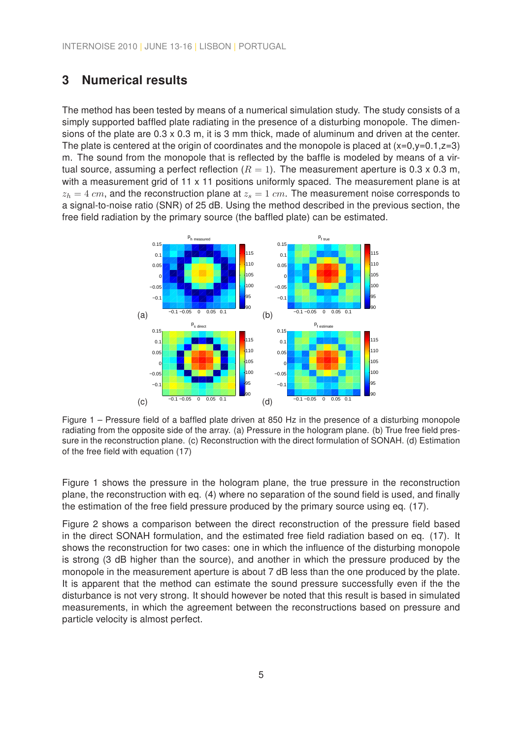## 3 Numerical results

The method has been tested by means of a numerical simulation study. The study consists of a simply supported baffled plate radiating in the presence of a disturbing monopole. The dimensions of the plate are 0.3 x 0.3 m, it is 3 mm thick, made of aluminum and driven at the center. The plate is centered at the origin of coordinates and the monopole is placed at  $(x=0,y=0.1,z=3)$ m. The sound from the monopole that is reflected by the baffle is modeled by means of a virtual source, assuming a perfect reflection  $(R = 1)$ . The measurement aperture is 0.3 x 0.3 m, with a measurement grid of 11 x 11 positions uniformly spaced. The measurement plane is at  $z_h = 4$  cm, and the reconstruction plane at  $z_s = 1$  cm. The measurement noise corresponds to a signal-to-noise ratio (SNR) of 25 dB. Using the method described in the previous section, the free field radiation by the primary source (the baffled plate) can be estimated.



Figure 1 – Pressure field of a baffled plate driven at 850 Hz in the presence of a disturbing monopole radiating from the opposite side of the array. (a) Pressure in the hologram plane. (b) True free field pressure in the reconstruction plane. (c) Reconstruction with the direct formulation of SONAH. (d) Estimation of the free field with equation (17)

Figure 1 shows the pressure in the hologram plane, the true pressure in the reconstruction plane, the reconstruction with eq. (4) where no separation of the sound field is used, and finally the estimation of the free field pressure produced by the primary source using eq. (17).

Figure 2 shows a comparison between the direct reconstruction of the pressure field based in the direct SONAH formulation, and the estimated free field radiation based on eq. (17). It shows the reconstruction for two cases: one in which the influence of the disturbing monopole is strong (3 dB higher than the source), and another in which the pressure produced by the monopole in the measurement aperture is about 7 dB less than the one produced by the plate. It is apparent that the method can estimate the sound pressure successfully even if the the disturbance is not very strong. It should however be noted that this result is based in simulated measurements, in which the agreement between the reconstructions based on pressure and particle velocity is almost perfect.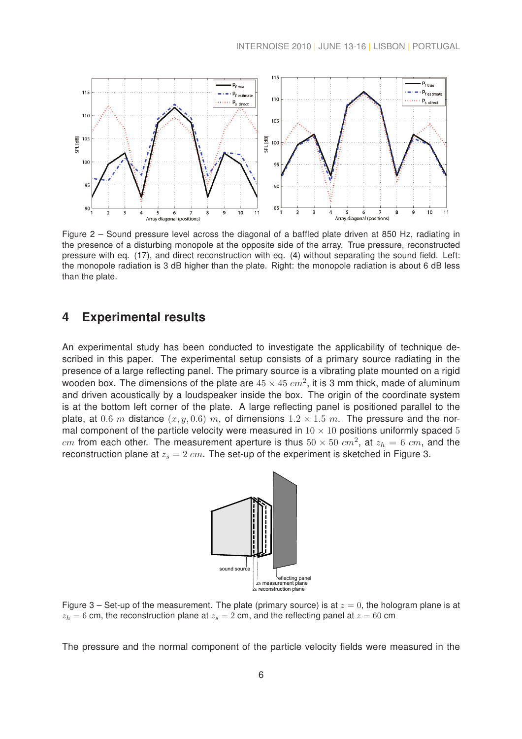

Figure 2 – Sound pressure level across the diagonal of a baffled plate driven at 850 Hz, radiating in the presence of a disturbing monopole at the opposite side of the array. True pressure, reconstructed pressure with eq. (17), and direct reconstruction with eq. (4) without separating the sound field. Left: the monopole radiation is 3 dB higher than the plate. Right: the monopole radiation is about 6 dB less than the plate.

### 4 Experimental results

An experimental study has been conducted to investigate the applicability of technique described in this paper. The experimental setup consists of a primary source radiating in the presence of a large reflecting panel. The primary source is a vibrating plate mounted on a rigid wooden box. The dimensions of the plate are  $45 \times 45~cm^2$ , it is 3 mm thick, made of aluminum and driven acoustically by a loudspeaker inside the box. The origin of the coordinate system is at the bottom left corner of the plate. A large reflecting panel is positioned parallel to the plate, at 0.6 m distance  $(x, y, 0.6)$  m, of dimensions  $1.2 \times 1.5$  m. The pressure and the normal component of the particle velocity were measured in  $10 \times 10$  positions uniformly spaced 5 cm from each other. The measurement aperture is thus  $50 \times 50$   $cm^2$ , at  $z_h = 6$   $cm$ , and the reconstruction plane at  $z_s = 2$  cm. The set-up of the experiment is sketched in Figure 3.



Figure 3 – Set-up of the measurement. The plate (primary source) is at  $z = 0$ , the hologram plane is at  $z_h = 6$  cm, the reconstruction plane at  $z_s = 2$  cm, and the reflecting panel at  $z = 60$  cm

The pressure and the normal component of the particle velocity fields were measured in the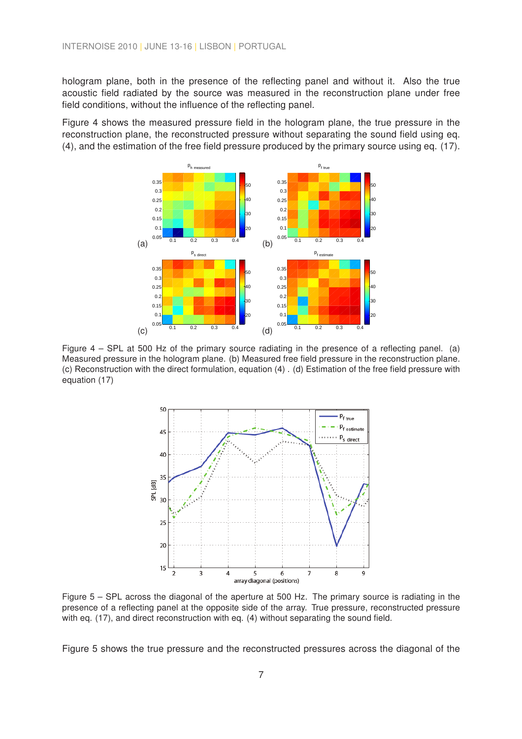hologram plane, both in the presence of the reflecting panel and without it. Also the true acoustic field radiated by the source was measured in the reconstruction plane under free field conditions, without the influence of the reflecting panel.

Figure 4 shows the measured pressure field in the hologram plane, the true pressure in the reconstruction plane, the reconstructed pressure without separating the sound field using eq. (4), and the estimation of the free field pressure produced by the primary source using eq. (17).



Figure 4 – SPL at 500 Hz of the primary source radiating in the presence of a reflecting panel. (a) Measured pressure in the hologram plane. (b) Measured free field pressure in the reconstruction plane. (c) Reconstruction with the direct formulation, equation (4) . (d) Estimation of the free field pressure with equation (17)



Figure 5 – SPL across the diagonal of the aperture at 500 Hz. The primary source is radiating in the presence of a reflecting panel at the opposite side of the array. True pressure, reconstructed pressure with eq. (17), and direct reconstruction with eq. (4) without separating the sound field.

Figure 5 shows the true pressure and the reconstructed pressures across the diagonal of the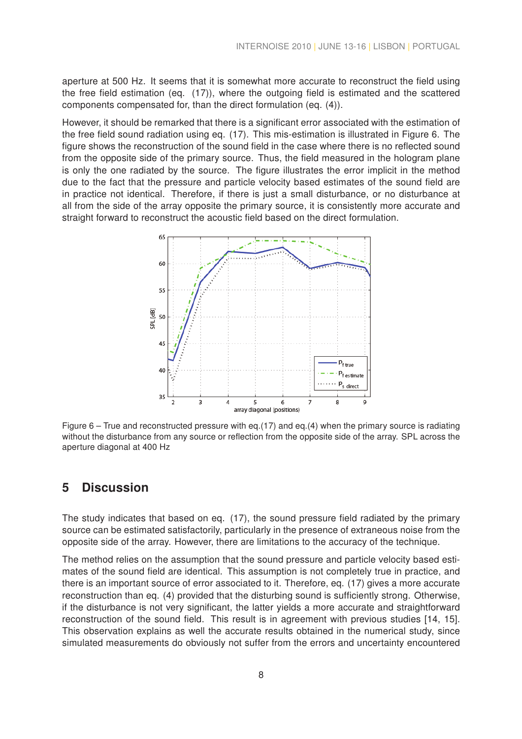aperture at 500 Hz. It seems that it is somewhat more accurate to reconstruct the field using the free field estimation (eq. (17)), where the outgoing field is estimated and the scattered components compensated for, than the direct formulation (eq. (4)).

However, it should be remarked that there is a significant error associated with the estimation of the free field sound radiation using eq. (17). This mis-estimation is illustrated in Figure 6. The figure shows the reconstruction of the sound field in the case where there is no reflected sound from the opposite side of the primary source. Thus, the field measured in the hologram plane is only the one radiated by the source. The figure illustrates the error implicit in the method due to the fact that the pressure and particle velocity based estimates of the sound field are in practice not identical. Therefore, if there is just a small disturbance, or no disturbance at all from the side of the array opposite the primary source, it is consistently more accurate and straight forward to reconstruct the acoustic field based on the direct formulation.



Figure 6 – True and reconstructed pressure with eq.(17) and eq.(4) when the primary source is radiating without the disturbance from any source or reflection from the opposite side of the array. SPL across the aperture diagonal at 400 Hz

## 5 Discussion

The study indicates that based on eq. (17), the sound pressure field radiated by the primary source can be estimated satisfactorily, particularly in the presence of extraneous noise from the opposite side of the array. However, there are limitations to the accuracy of the technique.

The method relies on the assumption that the sound pressure and particle velocity based estimates of the sound field are identical. This assumption is not completely true in practice, and there is an important source of error associated to it. Therefore, eq. (17) gives a more accurate reconstruction than eq. (4) provided that the disturbing sound is sufficiently strong. Otherwise, if the disturbance is not very significant, the latter yields a more accurate and straightforward reconstruction of the sound field. This result is in agreement with previous studies [14, 15]. This observation explains as well the accurate results obtained in the numerical study, since simulated measurements do obviously not suffer from the errors and uncertainty encountered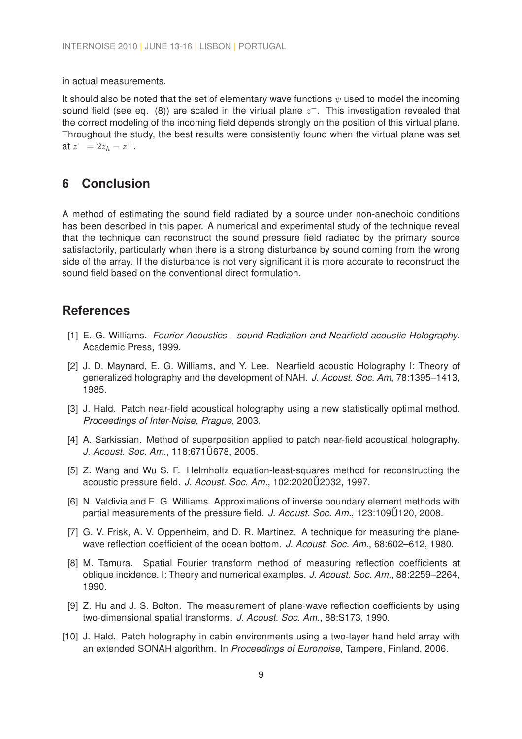in actual measurements.

It should also be noted that the set of elementary wave functions  $\psi$  used to model the incoming sound field (see eq. (8)) are scaled in the virtual plane  $z^-$ . This investigation revealed that the correct modeling of the incoming field depends strongly on the position of this virtual plane. Throughout the study, the best results were consistently found when the virtual plane was set at  $z^- = 2z_h - z^+$ .

## 6 Conclusion

A method of estimating the sound field radiated by a source under non-anechoic conditions has been described in this paper. A numerical and experimental study of the technique reveal that the technique can reconstruct the sound pressure field radiated by the primary source satisfactorily, particularly when there is a strong disturbance by sound coming from the wrong side of the array. If the disturbance is not very significant it is more accurate to reconstruct the sound field based on the conventional direct formulation.

#### References

- [1] E. G. Williams. Fourier Acoustics sound Radiation and Nearfield acoustic Holography. Academic Press, 1999.
- [2] J. D. Maynard, E. G. Williams, and Y. Lee. Nearfield acoustic Holography I: Theory of generalized holography and the development of NAH. J. Acoust. Soc. Am, 78:1395–1413, 1985.
- [3] J. Hald. Patch near-field acoustical holography using a new statistically optimal method. Proceedings of Inter-Noise, Prague, 2003.
- [4] A. Sarkissian. Method of superposition applied to patch near-field acoustical holography. J. Acoust. Soc. Am., 118:671 U678, 2005.
- [5] Z. Wang and Wu S. F. Helmholtz equation-least-squares method for reconstructing the acoustic pressure field. J. Acoust. Soc. Am., 102:2020U2032, 1997.
- [6] N. Valdivia and E. G. Williams. Approximations of inverse boundary element methods with partial measurements of the pressure field. J. Acoust. Soc. Am., 123:109 U120, 2008.
- [7] G. V. Frisk, A. V. Oppenheim, and D. R. Martinez. A technique for measuring the planewave reflection coefficient of the ocean bottom. J. Acoust. Soc. Am., 68:602–612, 1980.
- [8] M. Tamura. Spatial Fourier transform method of measuring reflection coefficients at oblique incidence. I: Theory and numerical examples. J. Acoust. Soc. Am., 88:2259–2264, 1990.
- [9] Z. Hu and J. S. Bolton. The measurement of plane-wave reflection coefficients by using two-dimensional spatial transforms. J. Acoust. Soc. Am., 88:S173, 1990.
- [10] J. Hald. Patch holography in cabin environments using a two-layer hand held array with an extended SONAH algorithm. In Proceedings of Euronoise, Tampere, Finland, 2006.